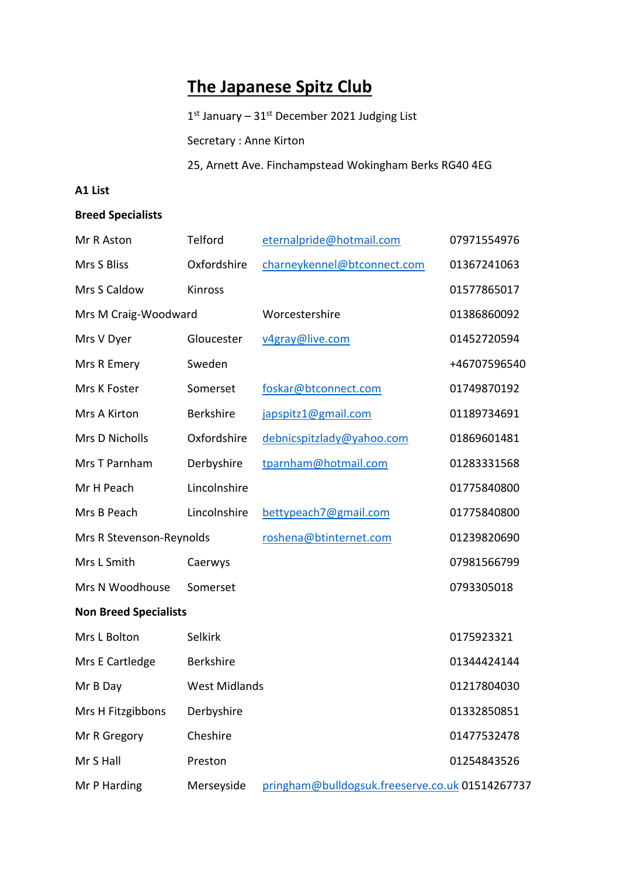## **The Japanese Spitz Club**

1st January - 31st December 2021 Judging List

Secretary : Anne Kirton

25, Arnett Ave. Finchampstead Wokingham Berks RG40 4EG

## **A1 List**

## **Breed Specialists**

| Mr R Aston                   | Telford              | eternalpride@hotmail.com                        | 07971554976  |  |  |
|------------------------------|----------------------|-------------------------------------------------|--------------|--|--|
| Mrs S Bliss                  | Oxfordshire          | charneykennel@btconnect.com                     | 01367241063  |  |  |
| Mrs S Caldow                 | Kinross              |                                                 | 01577865017  |  |  |
| Mrs M Craig-Woodward         |                      | Worcestershire                                  | 01386860092  |  |  |
| Mrs V Dyer                   | Gloucester           | v4gray@live.com                                 | 01452720594  |  |  |
| Mrs R Emery                  | Sweden               |                                                 | +46707596540 |  |  |
| Mrs K Foster                 | Somerset             | foskar@btconnect.com                            | 01749870192  |  |  |
| Mrs A Kirton                 | <b>Berkshire</b>     | japspitz1@gmail.com                             | 01189734691  |  |  |
| Mrs D Nicholls               | Oxfordshire          | debnicspitzlady@yahoo.com                       | 01869601481  |  |  |
| Mrs T Parnham                | Derbyshire           | tparnham@hotmail.com                            | 01283331568  |  |  |
| Mr H Peach                   | Lincolnshire         |                                                 | 01775840800  |  |  |
| Mrs B Peach                  | Lincolnshire         | bettypeach7@gmail.com                           | 01775840800  |  |  |
| Mrs R Stevenson-Reynolds     |                      | roshena@btinternet.com                          | 01239820690  |  |  |
| Mrs L Smith                  | Caerwys              |                                                 | 07981566799  |  |  |
| Mrs N Woodhouse              | Somerset             |                                                 | 0793305018   |  |  |
| <b>Non Breed Specialists</b> |                      |                                                 |              |  |  |
| Mrs L Bolton                 | <b>Selkirk</b>       |                                                 | 0175923321   |  |  |
| Mrs E Cartledge              | Berkshire            |                                                 | 01344424144  |  |  |
| Mr B Day                     | <b>West Midlands</b> |                                                 | 01217804030  |  |  |
| Mrs H Fitzgibbons            | Derbyshire           |                                                 | 01332850851  |  |  |
| Mr R Gregory                 | Cheshire             |                                                 | 01477532478  |  |  |
| Mr S Hall                    | Preston              |                                                 | 01254843526  |  |  |
| Mr P Harding                 | Merseyside           | pringham@bulldogsuk.freeserve.co.uk 01514267737 |              |  |  |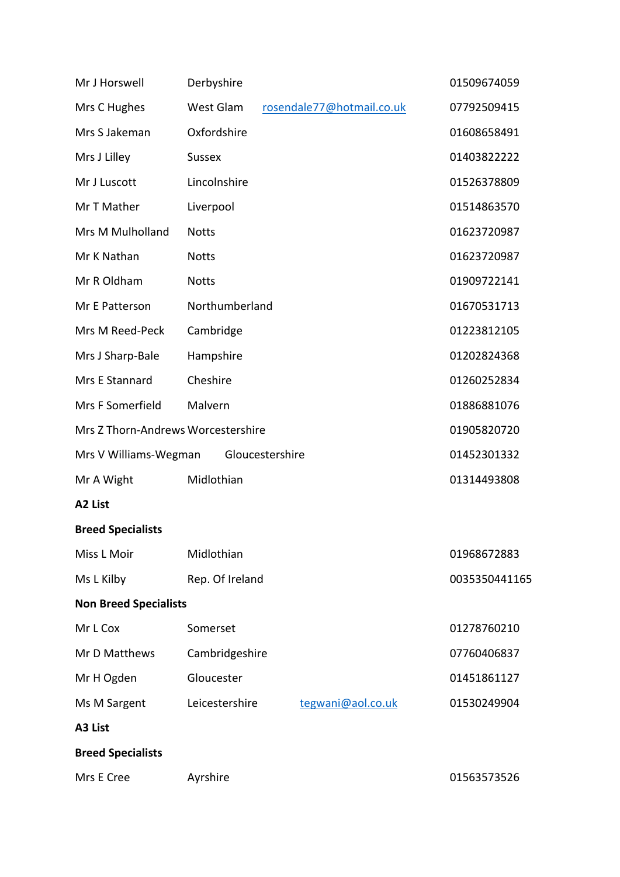| Mr J Horswell                      | Derbyshire      |                 |                           | 01509674059   |
|------------------------------------|-----------------|-----------------|---------------------------|---------------|
| Mrs C Hughes                       | West Glam       |                 | rosendale77@hotmail.co.uk | 07792509415   |
| Mrs S Jakeman                      | Oxfordshire     |                 |                           | 01608658491   |
| Mrs J Lilley                       | <b>Sussex</b>   |                 |                           | 01403822222   |
| Mr J Luscott                       | Lincolnshire    |                 |                           | 01526378809   |
| Mr T Mather                        | Liverpool       |                 |                           | 01514863570   |
| Mrs M Mulholland                   | <b>Notts</b>    |                 |                           | 01623720987   |
| Mr K Nathan                        | <b>Notts</b>    |                 |                           | 01623720987   |
| Mr R Oldham                        | <b>Notts</b>    |                 |                           | 01909722141   |
| Mr E Patterson                     | Northumberland  |                 |                           | 01670531713   |
| Mrs M Reed-Peck                    | Cambridge       |                 |                           | 01223812105   |
| Mrs J Sharp-Bale                   | Hampshire       |                 |                           | 01202824368   |
| Mrs E Stannard                     | Cheshire        |                 |                           | 01260252834   |
| Mrs F Somerfield                   | Malvern         |                 |                           | 01886881076   |
| Mrs Z Thorn-Andrews Worcestershire |                 |                 |                           | 01905820720   |
| Mrs V Williams-Wegman              |                 | Gloucestershire |                           | 01452301332   |
| Mr A Wight                         | Midlothian      |                 |                           | 01314493808   |
| A2 List                            |                 |                 |                           |               |
| <b>Breed Specialists</b>           |                 |                 |                           |               |
| Miss L Moir                        | Midlothian      |                 |                           | 01968672883   |
| Ms L Kilby                         | Rep. Of Ireland |                 |                           | 0035350441165 |
| <b>Non Breed Specialists</b>       |                 |                 |                           |               |
| Mr L Cox                           | Somerset        |                 |                           | 01278760210   |
| Mr D Matthews                      | Cambridgeshire  |                 |                           | 07760406837   |
| Mr H Ogden                         | Gloucester      |                 |                           | 01451861127   |
| Ms M Sargent                       | Leicestershire  |                 | tegwani@aol.co.uk         | 01530249904   |
| A3 List                            |                 |                 |                           |               |
| <b>Breed Specialists</b>           |                 |                 |                           |               |
| Mrs E Cree                         | Ayrshire        |                 |                           | 01563573526   |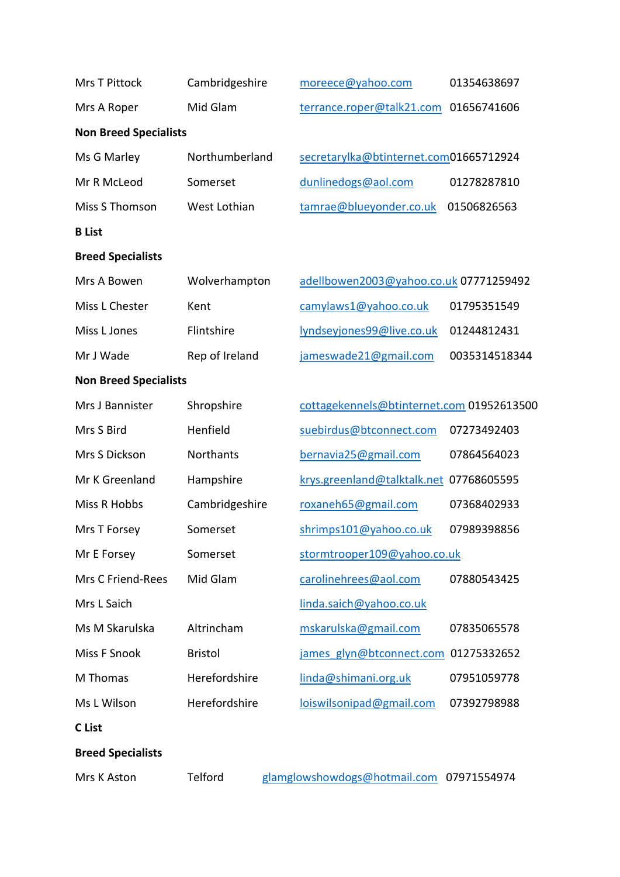| Mrs T Pittock                | Cambridgeshire | moreece@yahoo.com                         | 01354638697   |
|------------------------------|----------------|-------------------------------------------|---------------|
| Mrs A Roper                  | Mid Glam       | terrance.roper@talk21.com                 | 01656741606   |
| <b>Non Breed Specialists</b> |                |                                           |               |
| Ms G Marley                  | Northumberland | secretarylka@btinternet.com01665712924    |               |
| Mr R McLeod                  | Somerset       | dunlinedogs@aol.com                       | 01278287810   |
| Miss S Thomson               | West Lothian   | tamrae@blueyonder.co.uk                   | 01506826563   |
| <b>B</b> List                |                |                                           |               |
| <b>Breed Specialists</b>     |                |                                           |               |
| Mrs A Bowen                  | Wolverhampton  | adellbowen2003@yahoo.co.uk 07771259492    |               |
| Miss L Chester               | Kent           | camylaws1@yahoo.co.uk                     | 01795351549   |
| Miss L Jones                 | Flintshire     | lyndseyjones99@live.co.uk                 | 01244812431   |
| Mr J Wade                    | Rep of Ireland | jameswade21@gmail.com                     | 0035314518344 |
| <b>Non Breed Specialists</b> |                |                                           |               |
| Mrs J Bannister              | Shropshire     | cottagekennels@btinternet.com 01952613500 |               |
| Mrs S Bird                   | Henfield       | suebirdus@btconnect.com                   | 07273492403   |
| Mrs S Dickson                | Northants      | bernavia25@gmail.com                      | 07864564023   |
| Mr K Greenland               | Hampshire      | krys.greenland@talktalk.net 07768605595   |               |
| Miss R Hobbs                 | Cambridgeshire | roxaneh65@gmail.com                       | 07368402933   |
| Mrs T Forsey                 | Somerset       | shrimps101@yahoo.co.uk                    | 07989398856   |
| Mr E Forsey                  | Somerset       | stormtrooper109@yahoo.co.uk               |               |
| Mrs C Friend-Rees            | Mid Glam       | carolinehrees@aol.com                     | 07880543425   |
| Mrs L Saich                  |                | linda.saich@yahoo.co.uk                   |               |
| Ms M Skarulska               | Altrincham     | mskarulska@gmail.com                      | 07835065578   |
| Miss F Snook                 | <b>Bristol</b> | james glyn@btconnect.com                  | 01275332652   |
| M Thomas                     | Herefordshire  | linda@shimani.org.uk                      | 07951059778   |
| Ms L Wilson                  | Herefordshire  | loiswilsonipad@gmail.com                  | 07392798988   |
| C List                       |                |                                           |               |
| <b>Breed Specialists</b>     |                |                                           |               |
| Mrs K Aston                  | Telford        | glamglowshowdogs@hotmail.com 07971554974  |               |